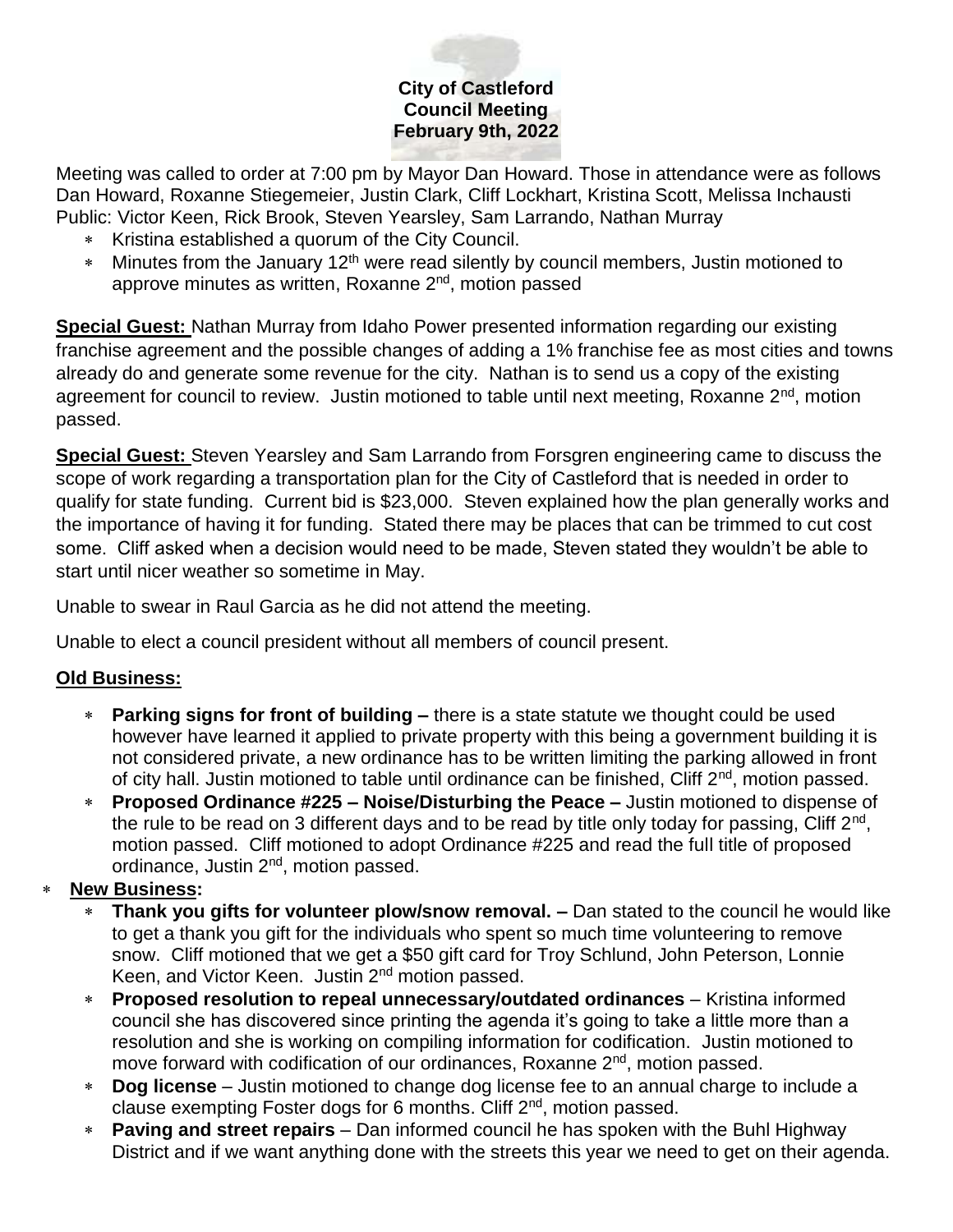# **City of Castleford Council Meeting February 9th, 2022**

Meeting was called to order at 7:00 pm by Mayor Dan Howard. Those in attendance were as follows Dan Howard, Roxanne Stiegemeier, Justin Clark, Cliff Lockhart, Kristina Scott, Melissa Inchausti Public: Victor Keen, Rick Brook, Steven Yearsley, Sam Larrando, Nathan Murray

- \* Kristina established a quorum of the City Council.
- \* Minutes from the January 12<sup>th</sup> were read silently by council members, Justin motioned to approve minutes as written, Roxanne 2<sup>nd</sup>, motion passed

**Special Guest:** Nathan Murray from Idaho Power presented information regarding our existing franchise agreement and the possible changes of adding a 1% franchise fee as most cities and towns already do and generate some revenue for the city. Nathan is to send us a copy of the existing agreement for council to review. Justin motioned to table until next meeting, Roxanne 2<sup>nd</sup>, motion passed.

**Special Guest:** Steven Yearsley and Sam Larrando from Forsgren engineering came to discuss the scope of work regarding a transportation plan for the City of Castleford that is needed in order to qualify for state funding. Current bid is \$23,000. Steven explained how the plan generally works and the importance of having it for funding. Stated there may be places that can be trimmed to cut cost some. Cliff asked when a decision would need to be made, Steven stated they wouldn't be able to start until nicer weather so sometime in May.

Unable to swear in Raul Garcia as he did not attend the meeting.

Unable to elect a council president without all members of council present.

## **Old Business:**

- **Parking signs for front of building –** there is a state statute we thought could be used however have learned it applied to private property with this being a government building it is not considered private, a new ordinance has to be written limiting the parking allowed in front of city hall. Justin motioned to table until ordinance can be finished, Cliff 2<sup>nd</sup>, motion passed.
- **Proposed Ordinance #225 – Noise/Disturbing the Peace –** Justin motioned to dispense of the rule to be read on 3 different days and to be read by title only today for passing, Cliff 2<sup>nd</sup>, motion passed. Cliff motioned to adopt Ordinance #225 and read the full title of proposed ordinance, Justin 2nd, motion passed.

## **New Business:**

- **Thank you gifts for volunteer plow/snow removal. –** Dan stated to the council he would like to get a thank you gift for the individuals who spent so much time volunteering to remove snow. Cliff motioned that we get a \$50 gift card for Troy Schlund, John Peterson, Lonnie Keen, and Victor Keen. Justin 2nd motion passed.
- **Proposed resolution to repeal unnecessary/outdated ordinances** Kristina informed council she has discovered since printing the agenda it's going to take a little more than a resolution and she is working on compiling information for codification. Justin motioned to move forward with codification of our ordinances, Roxanne 2<sup>nd</sup>, motion passed.
- **Dog license**  Justin motioned to change dog license fee to an annual charge to include a clause exempting Foster dogs for 6 months. Cliff 2nd, motion passed.
- **Paving and street repairs**  Dan informed council he has spoken with the Buhl Highway District and if we want anything done with the streets this year we need to get on their agenda.